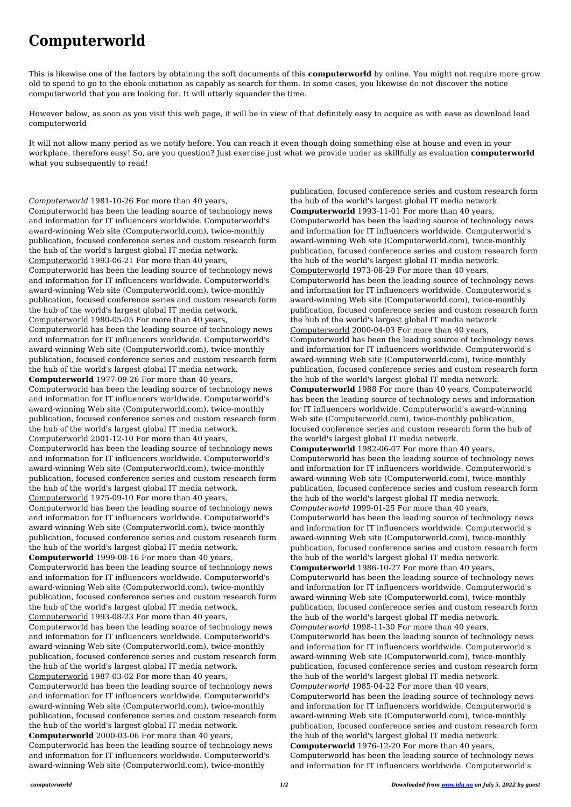## **Computerworld**

This is likewise one of the factors by obtaining the soft documents of this **computerworld** by online. You might not require more grow old to spend to go to the ebook initiation as capably as search for them. In some cases, you likewise do not discover the notice computerworld that you are looking for. It will utterly squander the time.

However below, as soon as you visit this web page, it will be in view of that definitely easy to acquire as with ease as download lead computerworld

It will not allow many period as we notify before. You can reach it even though doing something else at house and even in your workplace. therefore easy! So, are you question? Just exercise just what we provide under as skillfully as evaluation **computerworld** what you subsequently to read!

*Computerworld* 1981-10-26 For more than 40 years, Computerworld has been the leading source of technology news and information for IT influencers worldwide. Computerworld's award-winning Web site (Computerworld.com), twice-monthly publication, focused conference series and custom research form the hub of the world's largest global IT media network. Computerworld 1993-06-21 For more than 40 years, Computerworld has been the leading source of technology news and information for IT influencers worldwide. Computerworld's award-winning Web site (Computerworld.com), twice-monthly publication, focused conference series and custom research form the hub of the world's largest global IT media network. Computerworld 1980-05-05 For more than 40 years, Computerworld has been the leading source of technology news and information for IT influencers worldwide. Computerworld's award-winning Web site (Computerworld.com), twice-monthly publication, focused conference series and custom research form the hub of the world's largest global IT media network. **Computerworld** 1977-09-26 For more than 40 years, Computerworld has been the leading source of technology news and information for IT influencers worldwide. Computerworld's award-winning Web site (Computerworld.com), twice-monthly publication, focused conference series and custom research form the hub of the world's largest global IT media network. Computerworld 2001-12-10 For more than 40 years, Computerworld has been the leading source of technology news and information for IT influencers worldwide. Computerworld's award-winning Web site (Computerworld.com), twice-monthly publication, focused conference series and custom research form the hub of the world's largest global IT media network. Computerworld 1975-09-10 For more than 40 years, Computerworld has been the leading source of technology news and information for IT influencers worldwide. Computerworld's award-winning Web site (Computerworld.com), twice-monthly publication, focused conference series and custom research form the hub of the world's largest global IT media network. **Computerworld** 1999-08-16 For more than 40 years, Computerworld has been the leading source of technology news and information for IT influencers worldwide. Computerworld's award-winning Web site (Computerworld.com), twice-monthly publication, focused conference series and custom research form the hub of the world's largest global IT media network.

Computerworld 1993-08-23 For more than 40 years,

Computerworld has been the leading source of technology news and information for IT influencers worldwide. Computerworld's award-winning Web site (Computerworld.com), twice-monthly publication, focused conference series and custom research form the hub of the world's largest global IT media network. Computerworld 1987-03-02 For more than 40 years, Computerworld has been the leading source of technology news and information for IT influencers worldwide. Computerworld's award-winning Web site (Computerworld.com), twice-monthly publication, focused conference series and custom research form the hub of the world's largest global IT media network.

**Computerworld** 2000-03-06 For more than 40 years,

Computerworld has been the leading source of technology news and information for IT influencers worldwide. Computerworld's award-winning Web site (Computerworld.com), twice-monthly

publication, focused conference series and custom research form the hub of the world's largest global IT media network. **Computerworld** 1993-11-01 For more than 40 years, Computerworld has been the leading source of technology news and information for IT influencers worldwide. Computerworld's award-winning Web site (Computerworld.com), twice-monthly publication, focused conference series and custom research form the hub of the world's largest global IT media network. Computerworld 1973-08-29 For more than 40 years, Computerworld has been the leading source of technology news and information for IT influencers worldwide. Computerworld's award-winning Web site (Computerworld.com), twice-monthly publication, focused conference series and custom research form the hub of the world's largest global IT media network. Computerworld 2000-04-03 For more than 40 years, Computerworld has been the leading source of technology news and information for IT influencers worldwide. Computerworld's award-winning Web site (Computerworld.com), twice-monthly publication, focused conference series and custom research form the hub of the world's largest global IT media network. **Computerworld** 1988 For more than 40 years, Computerworld has been the leading source of technology news and information for IT influencers worldwide. Computerworld's award-winning Web site (Computerworld.com), twice-monthly publication, focused conference series and custom research form the hub of the world's largest global IT media network. **Computerworld** 1982-06-07 For more than 40 years, Computerworld has been the leading source of technology news and information for IT influencers worldwide. Computerworld's award-winning Web site (Computerworld.com), twice-monthly publication, focused conference series and custom research form the hub of the world's largest global IT media network. *Computerworld* 1999-01-25 For more than 40 years, Computerworld has been the leading source of technology news and information for IT influencers worldwide. Computerworld's

award-winning Web site (Computerworld.com), twice-monthly publication, focused conference series and custom research form the hub of the world's largest global IT media network. **Computerworld** 1986-10-27 For more than 40 years,

Computerworld has been the leading source of technology news and information for IT influencers worldwide. Computerworld's award-winning Web site (Computerworld.com), twice-monthly publication, focused conference series and custom research form the hub of the world's largest global IT media network. *Computerworld* 1998-11-30 For more than 40 years, Computerworld has been the leading source of technology news and information for IT influencers worldwide. Computerworld's award-winning Web site (Computerworld.com), twice-monthly publication, focused conference series and custom research form the hub of the world's largest global IT media network. *Computerworld* 1985-04-22 For more than 40 years, Computerworld has been the leading source of technology news and information for IT influencers worldwide. Computerworld's award-winning Web site (Computerworld.com), twice-monthly publication, focused conference series and custom research form the hub of the world's largest global IT media network. **Computerworld** 1976-12-20 For more than 40 years, Computerworld has been the leading source of technology news and information for IT influencers worldwide. Computerworld's